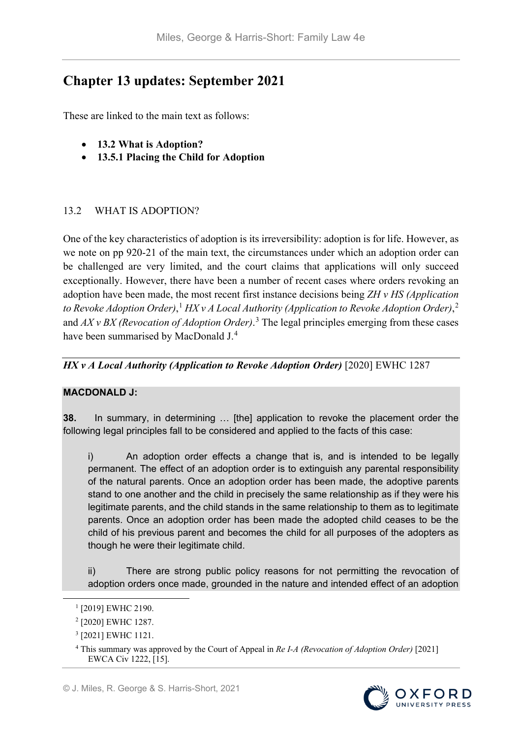# **Chapter 13 updates: September 2021**

These are linked to the main text as follows:

- **13.2 What is Adoption?**
- **13.5.1 Placing the Child for Adoption**

## 13.2 WHAT IS ADOPTION?

One of the key characteristics of adoption is its irreversibility: adoption is for life. However, as we note on pp 920-21 of the main text, the circumstances under which an adoption order can be challenged are very limited, and the court claims that applications will only succeed exceptionally. However, there have been a number of recent cases where orders revoking an adoption have been made, the most recent first instance decisions being *ZH v HS (Application to Revoke Adoption Order)*, [1](#page-0-0) *HX v A Local Authority (Application to Revoke Adoption Order)*, [2](#page-0-1) and *AX v BX (Revocation of Adoption Order)*. [3](#page-0-2) The legal principles emerging from these cases have been summarised by MacDonald J.<sup>[4](#page-0-3)</sup>

## *HX v A Local Authority (Application to Revoke Adoption Order)* [2020] EWHC 1287

#### **MACDONALD J:**

**38.** In summary, in determining … [the] application to revoke the placement order the following legal principles fall to be considered and applied to the facts of this case:

i) An adoption order effects a change that is, and is intended to be legally permanent. The effect of an adoption order is to extinguish any parental responsibility of the natural parents. Once an adoption order has been made, the adoptive parents stand to one another and the child in precisely the same relationship as if they were his legitimate parents, and the child stands in the same relationship to them as to legitimate parents. Once an adoption order has been made the adopted child ceases to be the child of his previous parent and becomes the child for all purposes of the adopters as though he were their legitimate child.

ii) There are strong public policy reasons for not permitting the revocation of adoption orders once made, grounded in the nature and intended effect of an adoption

<span id="page-0-3"></span><sup>4</sup> This summary was approved by the Court of Appeal in *Re I-A (Revocation of Adoption Order)* [2021] EWCA Civ 1222, [15].



<span id="page-0-0"></span><sup>&</sup>lt;sup>1</sup> [2019] EWHC 2190.

<span id="page-0-1"></span><sup>2</sup> [2020] EWHC 1287.

<span id="page-0-2"></span><sup>3</sup> [2021] EWHC 1121.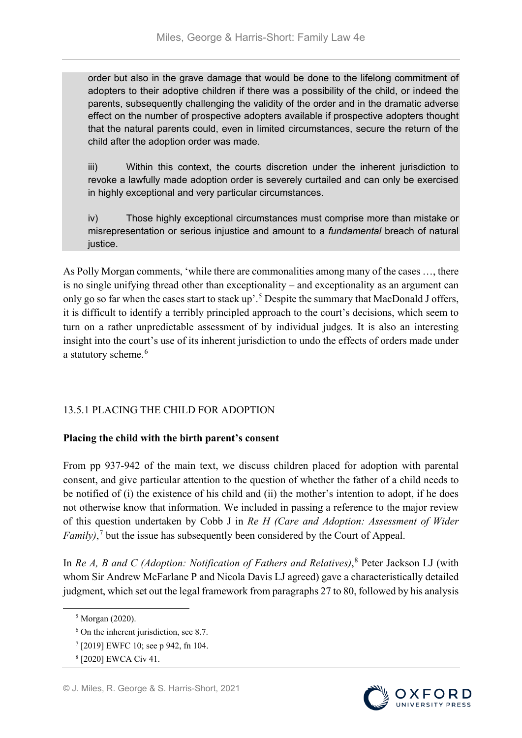order but also in the grave damage that would be done to the lifelong commitment of adopters to their adoptive children if there was a possibility of the child, or indeed the parents, subsequently challenging the validity of the order and in the dramatic adverse effect on the number of prospective adopters available if prospective adopters thought that the natural parents could, even in limited circumstances, secure the return of the child after the adoption order was made.

iii) Within this context, the courts discretion under the inherent jurisdiction to revoke a lawfully made adoption order is severely curtailed and can only be exercised in highly exceptional and very particular circumstances.

iv) Those highly exceptional circumstances must comprise more than mistake or misrepresentation or serious injustice and amount to a *fundamental* breach of natural justice.

As Polly Morgan comments, 'while there are commonalities among many of the cases …, there is no single unifying thread other than exceptionality – and exceptionality as an argument can only go so far when the cases start to stack up'.[5](#page-1-0) Despite the summary that MacDonald J offers, it is difficult to identify a terribly principled approach to the court's decisions, which seem to turn on a rather unpredictable assessment of by individual judges. It is also an interesting insight into the court's use of its inherent jurisdiction to undo the effects of orders made under a statutory scheme.<sup>[6](#page-1-1)</sup>

## 13.5.1 PLACING THE CHILD FOR ADOPTION

## **Placing the child with the birth parent's consent**

From pp 937-942 of the main text, we discuss children placed for adoption with parental consent, and give particular attention to the question of whether the father of a child needs to be notified of (i) the existence of his child and (ii) the mother's intention to adopt, if he does not otherwise know that information. We included in passing a reference to the major review of this question undertaken by Cobb J in *Re H (Care and Adoption: Assessment of Wider Family)*, [7](#page-1-2) but the issue has subsequently been considered by the Court of Appeal.

In *Re A, B and C (Adoption: Notification of Fathers and Relatives)*, [8](#page-1-3) Peter Jackson LJ (with whom Sir Andrew McFarlane P and Nicola Davis LJ agreed) gave a characteristically detailed judgment, which set out the legal framework from paragraphs 27 to 80, followed by his analysis



<span id="page-1-0"></span> <sup>5</sup> Morgan (2020).

<span id="page-1-1"></span> $6$  On the inherent jurisdiction, see 8.7.

<sup>7</sup> [2019] EWFC 10; see p 942, fn 104.

<span id="page-1-3"></span><span id="page-1-2"></span><sup>8</sup> [2020] EWCA Civ 41.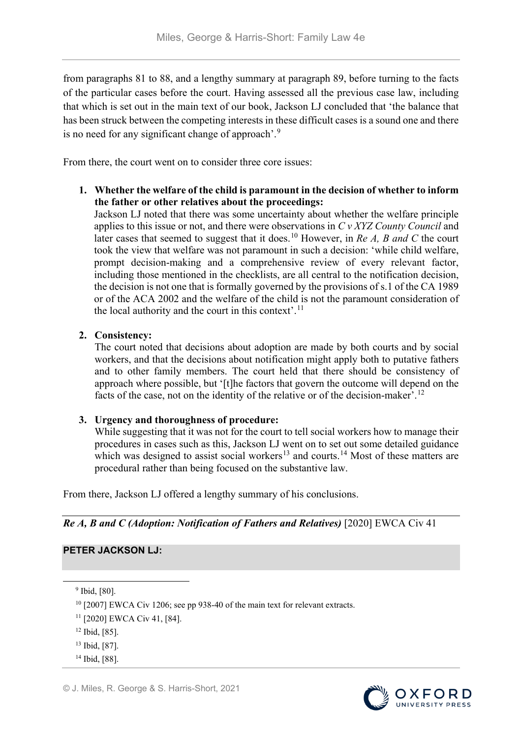from paragraphs 81 to 88, and a lengthy summary at paragraph 89, before turning to the facts of the particular cases before the court. Having assessed all the previous case law, including that which is set out in the main text of our book, Jackson LJ concluded that 'the balance that has been struck between the competing interests in these difficult cases is a sound one and there is no need for any significant change of approach'.[9](#page-2-0)

From there, the court went on to consider three core issues:

**1. Whether the welfare of the child is paramount in the decision of whether to inform the father or other relatives about the proceedings:**

Jackson LJ noted that there was some uncertainty about whether the welfare principle applies to this issue or not, and there were observations in *C v XYZ County Council* and later cases that seemed to suggest that it does.<sup>[10](#page-2-1)</sup> However, in *Re A, B and C* the court took the view that welfare was not paramount in such a decision: 'while child welfare, prompt decision-making and a comprehensive review of every relevant factor, including those mentioned in the checklists, are all central to the notification decision, the decision is not one that is formally governed by the provisions of s.1 of the CA 1989 or of the ACA 2002 and the welfare of the child is not the paramount consideration of the local authority and the court in this context'.<sup>[11](#page-2-2)</sup>

#### **2. Consistency:**

The court noted that decisions about adoption are made by both courts and by social workers, and that the decisions about notification might apply both to putative fathers and to other family members. The court held that there should be consistency of approach where possible, but '[t]he factors that govern the outcome will depend on the facts of the case, not on the identity of the relative or of the decision-maker'.[12](#page-2-3)

#### **3. Urgency and thoroughness of procedure:**

While suggesting that it was not for the court to tell social workers how to manage their procedures in cases such as this, Jackson LJ went on to set out some detailed guidance which was designed to assist social workers<sup>[13](#page-2-4)</sup> and courts.<sup>[14](#page-2-5)</sup> Most of these matters are procedural rather than being focused on the substantive law.

From there, Jackson LJ offered a lengthy summary of his conclusions.

*Re A, B and C (Adoption: Notification of Fathers and Relatives)* [2020] EWCA Civ 41

#### **PETER JACKSON LJ:**

<span id="page-2-0"></span>9 Ibid, [80].



<span id="page-2-1"></span><sup>&</sup>lt;sup>10</sup> [2007] EWCA Civ 1206; see pp 938-40 of the main text for relevant extracts.

<span id="page-2-2"></span><sup>11</sup> [2020] EWCA Civ 41, [84].

<span id="page-2-3"></span><sup>12</sup> Ibid, [85].

<span id="page-2-4"></span><sup>13</sup> Ibid, [87].

<span id="page-2-5"></span><sup>14</sup> Ibid, [88].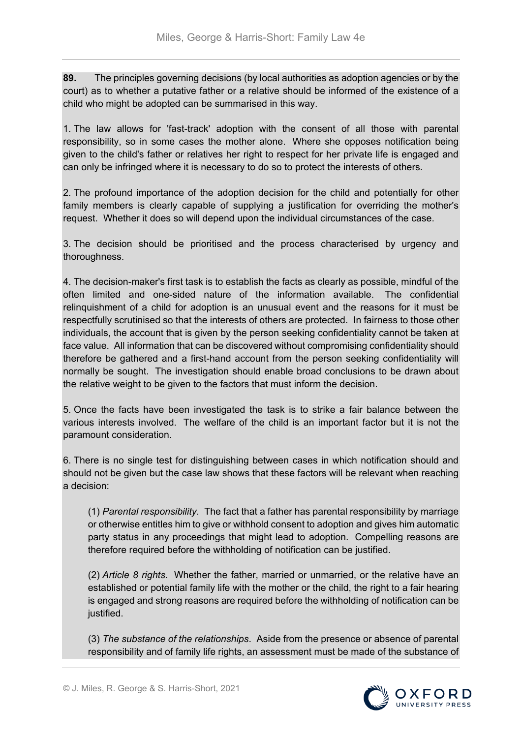**89.** The principles governing decisions (by local authorities as adoption agencies or by the court) as to whether a putative father or a relative should be informed of the existence of a child who might be adopted can be summarised in this way.

1. The law allows for 'fast-track' adoption with the consent of all those with parental responsibility, so in some cases the mother alone. Where she opposes notification being given to the child's father or relatives her right to respect for her private life is engaged and can only be infringed where it is necessary to do so to protect the interests of others.

2. The profound importance of the adoption decision for the child and potentially for other family members is clearly capable of supplying a justification for overriding the mother's request. Whether it does so will depend upon the individual circumstances of the case.

3. The decision should be prioritised and the process characterised by urgency and thoroughness.

4. The decision-maker's first task is to establish the facts as clearly as possible, mindful of the often limited and one-sided nature of the information available. The confidential relinquishment of a child for adoption is an unusual event and the reasons for it must be respectfully scrutinised so that the interests of others are protected. In fairness to those other individuals, the account that is given by the person seeking confidentiality cannot be taken at face value. All information that can be discovered without compromising confidentiality should therefore be gathered and a first-hand account from the person seeking confidentiality will normally be sought. The investigation should enable broad conclusions to be drawn about the relative weight to be given to the factors that must inform the decision.

5. Once the facts have been investigated the task is to strike a fair balance between the various interests involved. The welfare of the child is an important factor but it is not the paramount consideration.

6. There is no single test for distinguishing between cases in which notification should and should not be given but the case law shows that these factors will be relevant when reaching a decision:

(1) *Parental responsibility*. The fact that a father has parental responsibility by marriage or otherwise entitles him to give or withhold consent to adoption and gives him automatic party status in any proceedings that might lead to adoption. Compelling reasons are therefore required before the withholding of notification can be justified.

(2) *Article 8 rights*. Whether the father, married or unmarried, or the relative have an established or potential family life with the mother or the child, the right to a fair hearing is engaged and strong reasons are required before the withholding of notification can be justified.

(3) *The substance of the relationships*. Aside from the presence or absence of parental responsibility and of family life rights, an assessment must be made of the substance of

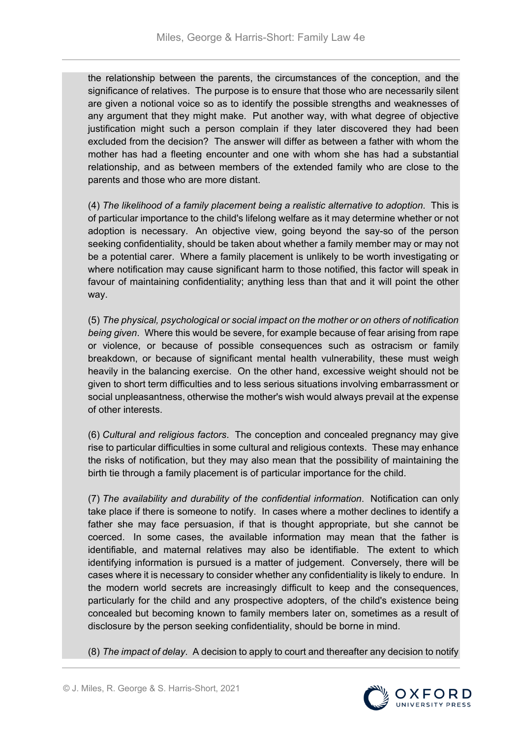the relationship between the parents, the circumstances of the conception, and the significance of relatives. The purpose is to ensure that those who are necessarily silent are given a notional voice so as to identify the possible strengths and weaknesses of any argument that they might make. Put another way, with what degree of objective justification might such a person complain if they later discovered they had been excluded from the decision? The answer will differ as between a father with whom the mother has had a fleeting encounter and one with whom she has had a substantial relationship, and as between members of the extended family who are close to the parents and those who are more distant.

(4) *The likelihood of a family placement being a realistic alternative to adoption*. This is of particular importance to the child's lifelong welfare as it may determine whether or not adoption is necessary. An objective view, going beyond the say-so of the person seeking confidentiality, should be taken about whether a family member may or may not be a potential carer. Where a family placement is unlikely to be worth investigating or where notification may cause significant harm to those notified, this factor will speak in favour of maintaining confidentiality; anything less than that and it will point the other way.

(5) *The physical, psychological or social impact on the mother or on others of notification being given*. Where this would be severe, for example because of fear arising from rape or violence, or because of possible consequences such as ostracism or family breakdown, or because of significant mental health vulnerability, these must weigh heavily in the balancing exercise. On the other hand, excessive weight should not be given to short term difficulties and to less serious situations involving embarrassment or social unpleasantness, otherwise the mother's wish would always prevail at the expense of other interests.

(6) *Cultural and religious factors*. The conception and concealed pregnancy may give rise to particular difficulties in some cultural and religious contexts. These may enhance the risks of notification, but they may also mean that the possibility of maintaining the birth tie through a family placement is of particular importance for the child.

(7) *The availability and durability of the confidential information*. Notification can only take place if there is someone to notify. In cases where a mother declines to identify a father she may face persuasion, if that is thought appropriate, but she cannot be coerced. In some cases, the available information may mean that the father is identifiable, and maternal relatives may also be identifiable. The extent to which identifying information is pursued is a matter of judgement. Conversely, there will be cases where it is necessary to consider whether any confidentiality is likely to endure. In the modern world secrets are increasingly difficult to keep and the consequences, particularly for the child and any prospective adopters, of the child's existence being concealed but becoming known to family members later on, sometimes as a result of disclosure by the person seeking confidentiality, should be borne in mind.

(8) *The impact of delay*. A decision to apply to court and thereafter any decision to notify

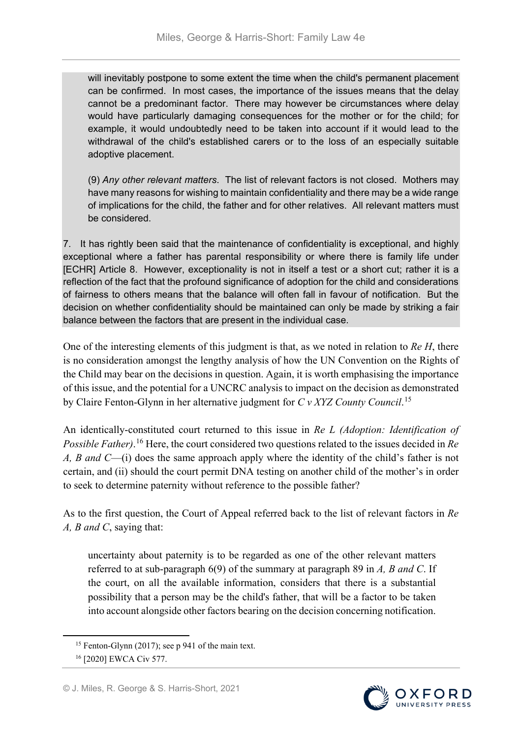will inevitably postpone to some extent the time when the child's permanent placement can be confirmed. In most cases, the importance of the issues means that the delay cannot be a predominant factor. There may however be circumstances where delay would have particularly damaging consequences for the mother or for the child; for example, it would undoubtedly need to be taken into account if it would lead to the withdrawal of the child's established carers or to the loss of an especially suitable adoptive placement.

(9) *Any other relevant matters*. The list of relevant factors is not closed. Mothers may have many reasons for wishing to maintain confidentiality and there may be a wide range of implications for the child, the father and for other relatives. All relevant matters must be considered.

7. It has rightly been said that the maintenance of confidentiality is exceptional, and highly exceptional where a father has parental responsibility or where there is family life under [ECHR] Article 8. However, exceptionality is not in itself a test or a short cut; rather it is a reflection of the fact that the profound significance of adoption for the child and considerations of fairness to others means that the balance will often fall in favour of notification. But the decision on whether confidentiality should be maintained can only be made by striking a fair balance between the factors that are present in the individual case.

One of the interesting elements of this judgment is that, as we noted in relation to *Re H*, there is no consideration amongst the lengthy analysis of how the UN Convention on the Rights of the Child may bear on the decisions in question. Again, it is worth emphasising the importance of this issue, and the potential for a UNCRC analysis to impact on the decision as demonstrated by Claire Fenton-Glynn in her alternative judgment for *C v XYZ County Council*. [15](#page-5-0)

An identically-constituted court returned to this issue in *Re L (Adoption: Identification of Possible Father)*. [16](#page-5-1) Here, the court considered two questions related to the issues decided in *Re A, B and C*—(i) does the same approach apply where the identity of the child's father is not certain, and (ii) should the court permit DNA testing on another child of the mother's in order to seek to determine paternity without reference to the possible father?

As to the first question, the Court of Appeal referred back to the list of relevant factors in *Re A, B and C*, saying that:

uncertainty about paternity is to be regarded as one of the other relevant matters referred to at sub-paragraph 6(9) of the summary at paragraph 89 in *A, B and C*. If the court, on all the available information, considers that there is a substantial possibility that a person may be the child's father, that will be a factor to be taken into account alongside other factors bearing on the decision concerning notification.



<span id="page-5-0"></span><sup>&</sup>lt;sup>15</sup> Fenton-Glynn (2017); see p 941 of the main text.

<span id="page-5-1"></span><sup>16</sup> [2020] EWCA Civ 577.